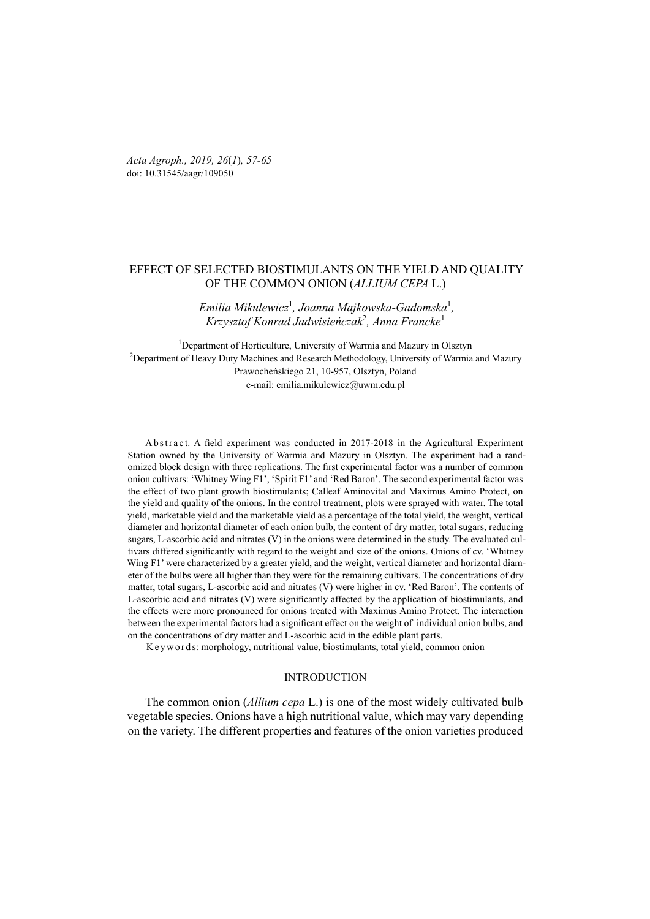*Acta Agroph., 2019, 26*(*1*)*, 57-65*  doi: 10.31545/aagr/109050

# EFFECT OF SELECTED BIOSTIMULANTS ON THE YIELD AND QUALITY OF THE COMMON ONION (*ALLIUM CEPA* L.)

# *Emilia Mikulewicz*<sup>1</sup> *, Joanna Majkowska-Gadomska*<sup>1</sup> *, Krzysztof Konrad Jadwisieńczak*<sup>2</sup> *, Anna Francke*<sup>1</sup>

<sup>1</sup>Department of Horticulture, University of Warmia and Mazury in Olsztyn <sup>2</sup>Department of Heavy Duty Machines and Research Methodology, University of Warmia and Mazury Prawocheńskiego 21, 10-957, Olsztyn, Poland e-mail: emilia.mikulewicz@uwm.edu.pl

Abstract. A field experiment was conducted in 2017-2018 in the Agricultural Experiment Station owned by the University of Warmia and Mazury in Olsztyn. The experiment had a randomized block design with three replications. The first experimental factor was a number of common onion cultivars: 'Whitney Wing F1', 'Spirit F1' and 'Red Baron'. The second experimental factor was the effect of two plant growth biostimulants; Calleaf Aminovital and Maximus Amino Protect, on the yield and quality of the onions. In the control treatment, plots were sprayed with water. The total yield, marketable yield and the marketable yield as a percentage of the total yield, the weight, vertical diameter and horizontal diameter of each onion bulb, the content of dry matter, total sugars, reducing sugars, L-ascorbic acid and nitrates (V) in the onions were determined in the study. The evaluated cultivars differed significantly with regard to the weight and size of the onions. Onions of cv. 'Whitney Wing F1' were characterized by a greater yield, and the weight, vertical diameter and horizontal diameter of the bulbs were all higher than they were for the remaining cultivars. The concentrations of dry matter, total sugars, L-ascorbic acid and nitrates (V) were higher in cv. 'Red Baron'. The contents of L-ascorbic acid and nitrates (V) were significantly affected by the application of biostimulants, and the effects were more pronounced for onions treated with Maximus Amino Protect. The interaction between the experimental factors had a significant effect on the weight of individual onion bulbs, and on the concentrations of dry matter and L-ascorbic acid in the edible plant parts.

K e y w o r d s: morphology, nutritional value, biostimulants, total yield, common onion

## **INTRODUCTION**

The common onion (*Allium cepa* L.) is one of the most widely cultivated bulb vegetable species. Onions have a high nutritional value, which may vary depending on the variety. The different properties and features of the onion varieties produced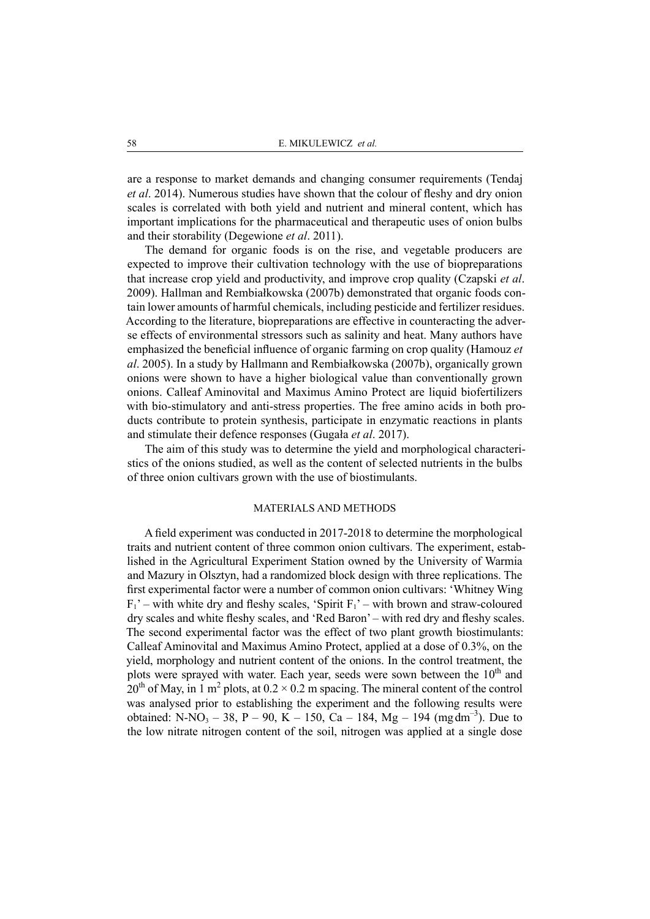are a response to market demands and changing consumer requirements (Tendaj *et al*. 2014). Numerous studies have shown that the colour of fleshy and dry onion scales is correlated with both yield and nutrient and mineral content, which has important implications for the pharmaceutical and therapeutic uses of onion bulbs and their storability (Degewione *et al*. 2011).

The demand for organic foods is on the rise, and vegetable producers are expected to improve their cultivation technology with the use of biopreparations that increase crop yield and productivity, and improve crop quality (Czapski *et al*. 2009). Hallman and Rembiałkowska (2007b) demonstrated that organic foods contain lower amounts of harmful chemicals, including pesticide and fertilizer residues. According to the literature, biopreparations are effective in counteracting the adverse effects of environmental stressors such as salinity and heat. Many authors have emphasized the beneficial influence of organic farming on crop quality (Hamouz *et al*. 2005). In a study by Hallmann and Rembiałkowska (2007b), organically grown onions were shown to have a higher biological value than conventionally grown onions. Calleaf Aminovital and Maximus Amino Protect are liquid biofertilizers with bio-stimulatory and anti-stress properties. The free amino acids in both products contribute to protein synthesis, participate in enzymatic reactions in plants and stimulate their defence responses (Gugała *et al*. 2017).

The aim of this study was to determine the yield and morphological characteristics of the onions studied, as well as the content of selected nutrients in the bulbs of three onion cultivars grown with the use of biostimulants.

### MATERIALS AND METHODS

A field experiment was conducted in 2017-2018 to determine the morphological traits and nutrient content of three common onion cultivars. The experiment, established in the Agricultural Experiment Station owned by the University of Warmia and Mazury in Olsztyn, had a randomized block design with three replications. The first experimental factor were a number of common onion cultivars: 'Whitney Wing  $F_1'$  – with white dry and fleshy scales, 'Spirit  $F_1'$  – with brown and straw-coloured dry scales and white fleshy scales, and 'Red Baron' – with red dry and fleshy scales. The second experimental factor was the effect of two plant growth biostimulants: Calleaf Aminovital and Maximus Amino Protect, applied at a dose of 0.3%, on the yield, morphology and nutrient content of the onions. In the control treatment, the plots were sprayed with water. Each year, seeds were sown between the 10<sup>th</sup> and  $20<sup>th</sup>$  of May, in 1 m<sup>2</sup> plots, at  $0.2 \times 0.2$  m spacing. The mineral content of the control was analysed prior to establishing the experiment and the following results were obtained: N-NO<sub>3</sub> – 38, P – 90, K – 150, Ca – 184, Mg – 194 (mgdm<sup>-3</sup>). Due to the low nitrate nitrogen content of the soil, nitrogen was applied at a single dose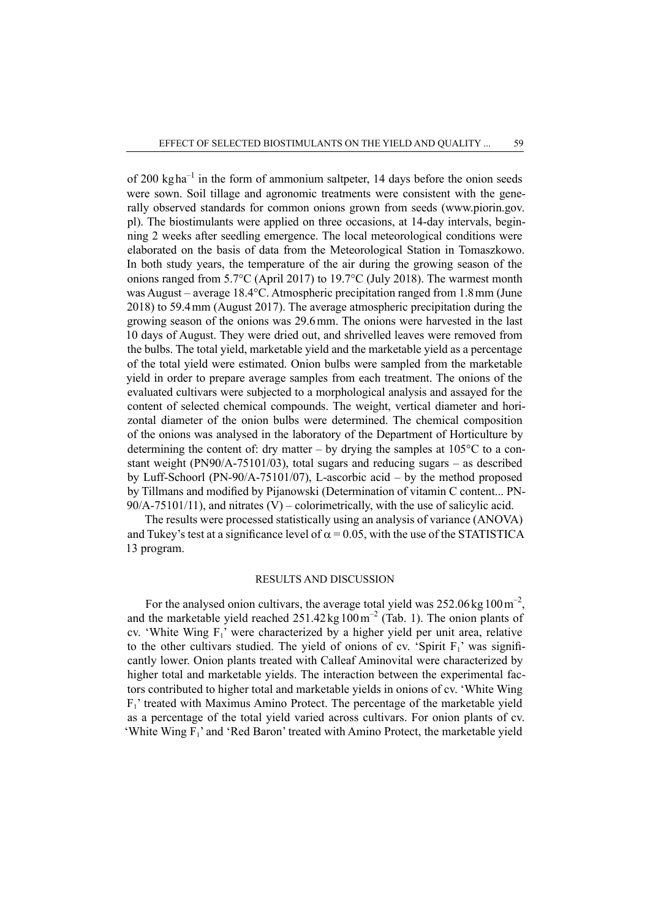of 200 kg ha<sup> $-1$ </sup> in the form of ammonium saltpeter, 14 days before the onion seeds were sown. Soil tillage and agronomic treatments were consistent with the generally observed standards for common onions grown from seeds (www.piorin.gov. pl). The biostimulants were applied on three occasions, at 14-day intervals, beginning 2 weeks after seedling emergence. The local meteorological conditions were elaborated on the basis of data from the Meteorological Station in Tomaszkowo. In both study years, the temperature of the air during the growing season of the onions ranged from 5.7°C (April 2017) to 19.7°C (July 2018). The warmest month was August – average 18.4°C. Atmospheric precipitation ranged from 1.8mm (June 2018) to 59.4mm (August 2017). The average atmospheric precipitation during the growing season of the onions was 29.6mm. The onions were harvested in the last 10 days of August. They were dried out, and shrivelled leaves were removed from the bulbs. The total yield, marketable yield and the marketable yield as a percentage of the total yield were estimated. Onion bulbs were sampled from the marketable yield in order to prepare average samples from each treatment. The onions of the evaluated cultivars were subjected to a morphological analysis and assayed for the content of selected chemical compounds. The weight, vertical diameter and horizontal diameter of the onion bulbs were determined. The chemical composition of the onions was analysed in the laboratory of the Department of Horticulture by determining the content of: dry matter – by drying the samples at  $105^{\circ}$ C to a constant weight (PN90/A-75101/03), total sugars and reducing sugars – as described by Luff-Schoorl (PN-90/A-75101/07), L-ascorbic acid – by the method proposed by Tillmans and modified by Pijanowski (Determination of vitamin C content... PN-90/A-75101/11), and nitrates (V) – colorimetrically, with the use of salicylic acid.

The results were processed statistically using an analysis of variance (ANOVA) and Tukey's test at a significance level of  $\alpha$  = 0.05, with the use of the STATISTICA 13 program.

# RESULTS AND DISCUSSION

For the analysed onion cultivars, the average total yield was  $252.06 \text{ kg}100 \text{ m}^{-2}$ . and the marketable yield reached  $251.42 \text{ kg } 100 \text{ m}^{-2}$  (Tab. 1). The onion plants of cv. 'White Wing  $F_1$ ' were characterized by a higher yield per unit area, relative to the other cultivars studied. The yield of onions of cv. 'Spirit  $F_1$ ' was significantly lower. Onion plants treated with Calleaf Aminovital were characterized by higher total and marketable yields. The interaction between the experimental factors contributed to higher total and marketable yields in onions of cv. 'White Wing  $F_1$ ' treated with Maximus Amino Protect. The percentage of the marketable yield as a percentage of the total yield varied across cultivars. For onion plants of cv. 'White Wing  $F_1$ ' and 'Red Baron' treated with Amino Protect, the marketable yield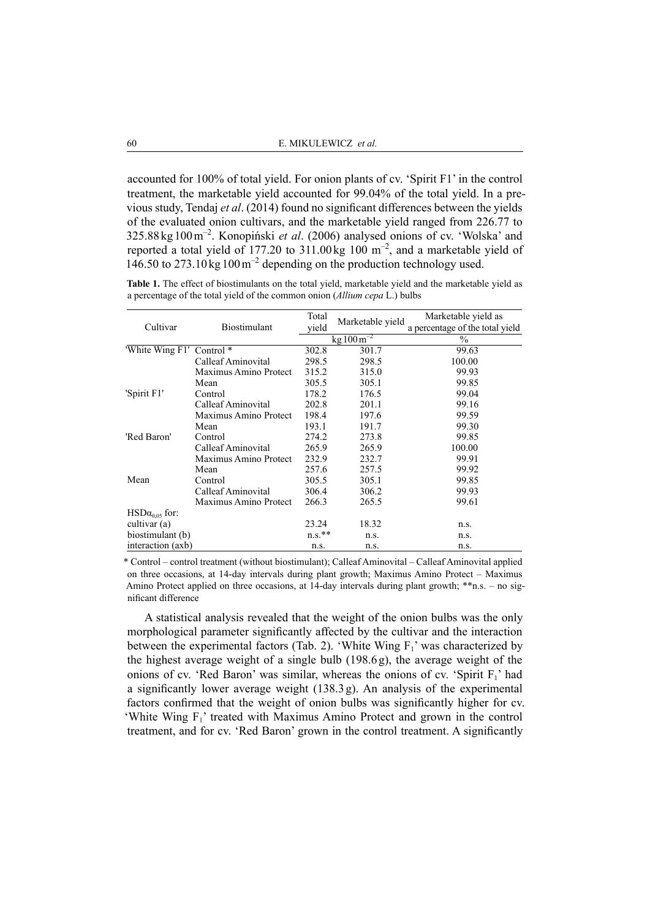accounted for 100% of total yield. For onion plants of cv. 'Spirit F1' in the control treatment, the marketable yield accounted for 99.04% of the total yield. In a previous study, Tendaj *et al*. (2014) found no significant differences between the yields of the evaluated onion cultivars, and the marketable yield ranged from 226.77 to 325.88kg100m–2. Konopiński *et al*. (2006) analysed onions of cv. 'Wolska' and reported a total yield of 177.20 to 311.00 kg 100  $m^{-2}$ , and a marketable yield of 146.50 to 273.10 kg  $100 \text{ m}^{-2}$  depending on the production technology used.

**Table 1.** The effect of biostimulants on the total yield, marketable yield and the marketable yield as a percentage of the total yield of the common onion (*Allium cepa* L.) bulbs

|                         | Biostimulant          | Total     |                                 | Marketable yield as             |  |
|-------------------------|-----------------------|-----------|---------------------------------|---------------------------------|--|
| Cultivar                |                       | yield     | Marketable yield                | a percentage of the total yield |  |
|                         |                       |           | $\text{kg}$ 100 m <sup>-2</sup> | $\%$                            |  |
| 'White Wing F1'         | Control $*$           | 302.8     | 301.7                           | 99.63                           |  |
|                         | Calleaf Aminovital    | 298.5     | 298.5                           | 100.00                          |  |
|                         | Maximus Amino Protect | 315.2     | 315.0                           | 99.93                           |  |
|                         | Mean                  | 305.5     | 305.1                           | 99.85                           |  |
| 'Spirit F1'             | Control               | 178.2     | 176.5                           | 99.04                           |  |
|                         | Calleaf Aminovital    | 202.8     | 201.1                           | 99.16                           |  |
|                         | Maximus Amino Protect | 198.4     | 197.6                           | 99.59                           |  |
|                         | Mean                  | 193.1     | 191.7                           | 99.30                           |  |
| 'Red Baron'             | Control               | 274.2     | 273.8                           | 99.85                           |  |
|                         | Calleaf Aminovital    | 265.9     | 265.9                           | 100.00                          |  |
|                         | Maximus Amino Protect | 232.9     | 232.7                           | 99.91                           |  |
|                         | Mean                  | 257.6     | 257.5                           | 99.92                           |  |
| Mean                    | Control               | 305.5     | 305.1                           | 99.85                           |  |
|                         | Calleaf Aminovital    | 306.4     | 306.2                           | 99.93                           |  |
|                         | Maximus Amino Protect | 266.3     | 265.5                           | 99.61                           |  |
| $HSD\alpha_{0.05}$ for: |                       |           |                                 |                                 |  |
| cultivar (a)            |                       | 23.24     | 18.32                           | n.s.                            |  |
| biostimulant (b)        |                       | $n.s.$ ** | n.s.                            | n.s.                            |  |
| interaction (axb)       |                       | n.s.      | n.s.                            | n.s.                            |  |

\* Control – control treatment (without biostimulant); Calleaf Aminovital – Calleaf Aminovital applied on three occasions, at 14-day intervals during plant growth; Maximus Amino Protect – Maximus Amino Protect applied on three occasions, at 14-day intervals during plant growth; \*\*n.s. – no significant difference

A statistical analysis revealed that the weight of the onion bulbs was the only morphological parameter significantly affected by the cultivar and the interaction between the experimental factors (Tab. 2). 'White Wing  $F_1$ ' was characterized by the highest average weight of a single bulb (198.6g), the average weight of the onions of cv. 'Red Baron' was similar, whereas the onions of cv. 'Spirit  $F_1$ ' had a significantly lower average weight  $(138.3g)$ . An analysis of the experimental factors confirmed that the weight of onion bulbs was significantly higher for cv. 'White Wing  $F_1$ ' treated with Maximus Amino Protect and grown in the control treatment, and for cv. 'Red Baron' grown in the control treatment. A significantly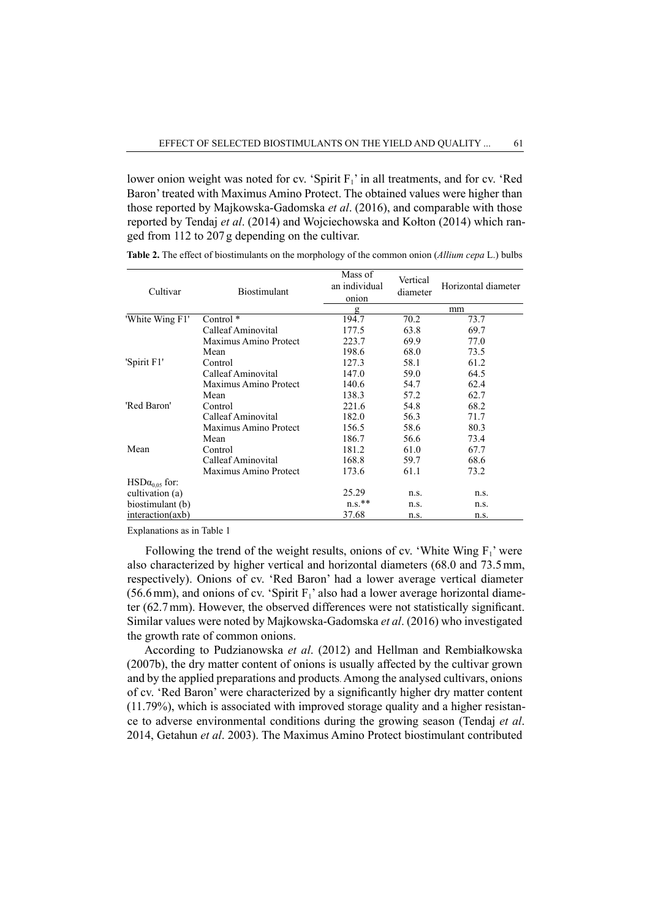lower onion weight was noted for cv. 'Spirit  $F_1$ ' in all treatments, and for cv. 'Red Baron' treated with Maximus Amino Protect. The obtained values were higher than those reported by Majkowska-Gadomska *et al*. (2016), and comparable with those reported by Tendaj *et al*. (2014) and Wojciechowska and Kołton (2014) which ranged from 112 to 207g depending on the cultivar.

| Cultivar                       | <b>Biostimulant</b>   | Mass of<br>an individual<br>onion | Vertical<br>diameter | Horizontal diameter |  |
|--------------------------------|-----------------------|-----------------------------------|----------------------|---------------------|--|
|                                |                       | g                                 |                      | mm                  |  |
| 'White Wing F1'                | Control <sup>*</sup>  | 194.7                             | 70.2                 | 73.7                |  |
|                                | Calleaf Aminovital    | 177.5                             | 63.8                 | 69.7                |  |
|                                | Maximus Amino Protect | 223.7                             | 69.9                 | 77.0                |  |
|                                | Mean                  | 198.6                             | 68.0                 | 73.5                |  |
| 'Spirit F1'                    | Control               | 127.3                             | 58.1                 | 61.2                |  |
|                                | Calleaf Aminovital    | 147.0                             | 59.0                 | 64.5                |  |
|                                | Maximus Amino Protect | 140.6                             | 54.7                 | 62.4                |  |
|                                | Mean                  | 138.3                             | 57.2                 | 62.7                |  |
| 'Red Baron'                    | Control               | 221.6                             | 54.8                 | 68.2                |  |
|                                | Calleaf Aminovital    | 182.0                             | 56.3                 | 71.7                |  |
|                                | Maximus Amino Protect | 156.5                             | 58.6                 | 80.3                |  |
|                                | Mean                  | 186.7                             | 56.6                 | 73.4                |  |
| Mean                           | Control               | 181.2                             | 61.0                 | 67.7                |  |
|                                | Calleaf Aminovital    | 168.8                             | 59.7                 | 68.6                |  |
|                                | Maximus Amino Protect | 173.6                             | 61.1                 | 73.2                |  |
| $\text{HSD}\alpha_{0.05}$ for: |                       |                                   |                      |                     |  |
| cultivation (a)                |                       | 25.29                             | n.s.                 | n.s.                |  |
| biostimulant (b)               |                       | $n.s.$ **                         | n.s.                 | n.s.                |  |
| interaction(axb)               |                       | 37.68                             | n.s.                 | n.s.                |  |

**Table 2.** The effect of biostimulants on the morphology of the common onion (*Allium cepa* L.) bulbs

Explanations as in Table 1

Following the trend of the weight results, onions of cv. 'White Wing  $F_1$ ' were also characterized by higher vertical and horizontal diameters (68.0 and 73.5mm, respectively). Onions of cv. 'Red Baron' had a lower average vertical diameter  $(56.6 \text{ mm})$ , and onions of cv. 'Spirit  $F_1$ ' also had a lower average horizontal diameter (62.7mm). However, the observed differences were not statistically significant. Similar values were noted by Majkowska-Gadomska *et al*. (2016) who investigated the growth rate of common onions.

According to Pudzianowska *et al*. (2012) and Hellman and Rembiałkowska (2007b), the dry matter content of onions is usually affected by the cultivar grown and by the applied preparations and products. Among the analysed cultivars, onions of cv. 'Red Baron' were characterized by a significantly higher dry matter content (11.79%), which is associated with improved storage quality and a higher resistance to adverse environmental conditions during the growing season (Tendaj *et al*. 2014, Getahun *et al*. 2003). The Maximus Amino Protect biostimulant contributed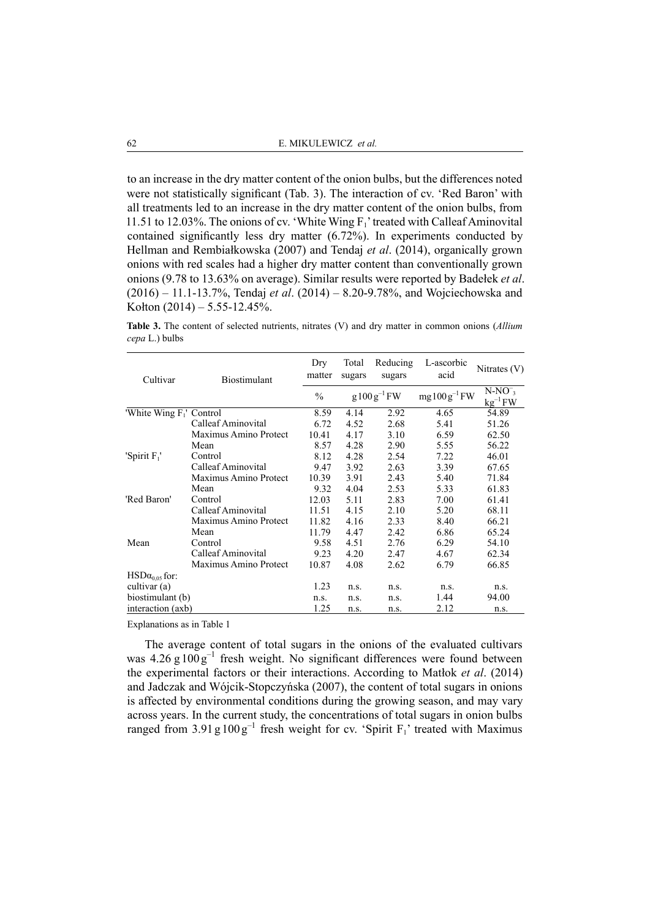to an increase in the dry matter content of the onion bulbs, but the differences noted were not statistically significant (Tab. 3). The interaction of cv. 'Red Baron' with all treatments led to an increase in the dry matter content of the onion bulbs, from 11.51 to 12.03%. The onions of cv. 'White Wing  $F_1$ ' treated with Calleaf Aminovital contained significantly less dry matter (6.72%). In experiments conducted by Hellman and Rembiałkowska (2007) and Tendaj *et al*. (2014), organically grown onions with red scales had a higher dry matter content than conventionally grown onions (9.78 to 13.63% on average). Similar results were reported by Badełek *et al*. (2016) – 11.1-13.7%, Tendaj *et al*. (2014) – 8.20-9.78%, and Wojciechowska and Kołton  $(2014) - 5.55 - 12.45\%$ .

**Table 3.** The content of selected nutrients, nitrates (V) and dry matter in common onions (*Allium cepa* L.) bulbs

| Cultivar                    | <b>Biostimulant</b>   | Dry<br>matter | Total<br>sugars | Reducing<br>sugars | L-ascorbic<br>acid | Nitrates $(V)$            |
|-----------------------------|-----------------------|---------------|-----------------|--------------------|--------------------|---------------------------|
|                             |                       | $\frac{0}{0}$ |                 | $g100g^{-1}FW$     | $mg100g^{-1}FW$    | $N-NO^{-}$<br>$kg^{-1}FW$ |
| 'White Wing $F_1$ ' Control |                       | 8.59          | 4.14            | 2.92               | 4.65               | 54.89                     |
|                             | Calleaf Aminovital    | 6.72          | 4.52            | 2.68               | 5.41               | 51.26                     |
|                             | Maximus Amino Protect | 10.41         | 4.17            | 3.10               | 6.59               | 62.50                     |
|                             | Mean                  | 8.57          | 4.28            | 2.90               | 5.55               | 56.22                     |
| 'Spirit $F_1$ '             | Control               | 8.12          | 4.28            | 2.54               | 7.22               | 46.01                     |
|                             | Calleaf Aminovital    | 9.47          | 3.92            | 2.63               | 3.39               | 67.65                     |
|                             | Maximus Amino Protect | 10.39         | 3.91            | 2.43               | 5.40               | 71.84                     |
|                             | Mean                  | 9.32          | 4.04            | 2.53               | 5.33               | 61.83                     |
| 'Red Baron'                 | Control               | 12.03         | 5.11            | 2.83               | 7.00               | 61.41                     |
|                             | Calleaf Aminovital    | 11.51         | 4.15            | 2.10               | 5.20               | 68.11                     |
| Mean                        | Maximus Amino Protect | 11.82         | 4.16            | 2.33               | 8.40               | 66.21                     |
|                             | Mean                  | 11.79         | 4.47            | 2.42               | 6.86               | 65.24                     |
|                             | Control               | 9.58          | 4.51            | 2.76               | 6.29               | 54.10                     |
|                             | Calleaf Aminovital    | 9.23          | 4.20            | 2.47               | 4.67               | 62.34                     |
|                             | Maximus Amino Protect | 10.87         | 4.08            | 2.62               | 6.79               | 66.85                     |
| $HSD\alpha_{0.05}$ for:     |                       |               |                 |                    |                    |                           |
| cultivar (a)                |                       | 1.23          | n.s.            | n.s.               | n.s.               | n.s.                      |
| biostimulant (b)            |                       | n.s.          | n.s.            | n.s.               | 1.44               | 94.00                     |
| interaction (axb)           |                       | 1.25          | n.s.            | n.s.               | 2.12               | n.s.                      |

Explanations as in Table 1

The average content of total sugars in the onions of the evaluated cultivars was  $4.26 \text{ g } 100 \text{ g}^{-1}$  fresh weight. No significant differences were found between the experimental factors or their interactions. According to Matłok *et al*. (2014) and Jadczak and Wójcik-Stopczyńska (2007), the content of total sugars in onions is affected by environmental conditions during the growing season, and may vary across years. In the current study, the concentrations of total sugars in onion bulbs ranged from  $3.91 \text{ g } 100 \text{ g}^{-1}$  fresh weight for cv. 'Spirit F<sub>1</sub>' treated with Maximus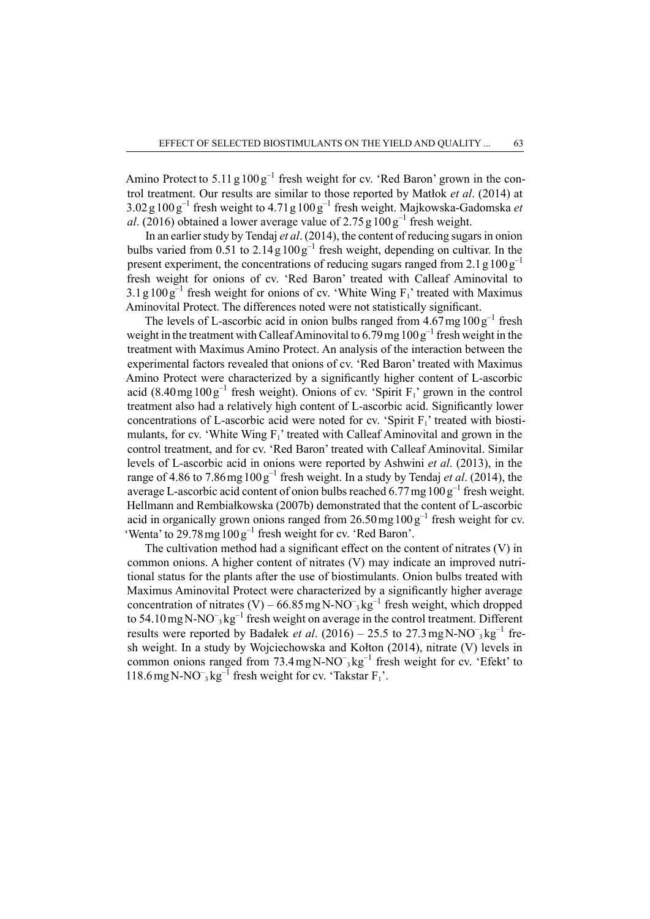Amino Protect to  $5.11 \text{ g } 100 \text{ g}^{-1}$  fresh weight for cv. 'Red Baron' grown in the control treatment. Our results are similar to those reported by Matłok *et al*. (2014) at 3.02 g 100 g–1 fresh weight to 4.71g 100 g–1 fresh weight. Majkowska-Gadomska *et al*. (2016) obtained a lower average value of  $2.75g100g^{-1}$  fresh weight.

In an earlier study by Tendaj *et al*. (2014), the content of reducing sugars in onion bulbs varied from  $0.51$  to  $2.14g100g^{-1}$  fresh weight, depending on cultivar. In the present experiment, the concentrations of reducing sugars ranged from 2.1 g  $100\,\text{g}^{-1}$ fresh weight for onions of cv. 'Red Baron' treated with Calleaf Aminovital to  $3.1\,\mathrm{g}\,100\,\mathrm{g}^{-1}$  fresh weight for onions of cv. 'White Wing F<sub>1</sub>' treated with Maximus Aminovital Protect. The differences noted were not statistically significant.

The levels of L-ascorbic acid in onion bulbs ranged from  $4.67 \text{ mg } 100 \text{ g}^{-1}$  fresh weight in the treatment with Calleaf Aminovital to  $6.79$  mg  $100g^{-1}$  fresh weight in the treatment with Maximus Amino Protect. An analysis of the interaction between the experimental factors revealed that onions of cv. 'Red Baron' treated with Maximus Amino Protect were characterized by a significantly higher content of L-ascorbic acid (8.40 mg  $100g^{-1}$  fresh weight). Onions of cv. 'Spirit  $F_1$ ' grown in the control treatment also had a relatively high content of L-ascorbic acid. Significantly lower concentrations of L-ascorbic acid were noted for cv. 'Spirit  $F_1$ ' treated with biostimulants, for cv. 'White Wing  $F_1$ ' treated with Calleaf Aminovital and grown in the control treatment, and for cv. 'Red Baron' treated with Calleaf Aminovital. Similar levels of L-ascorbic acid in onions were reported by Ashwini *et al*. (2013), in the range of 4.86 to 7.86 mg  $100g^{-1}$  fresh weight. In a study by Tendaj *et al.* (2014), the average L-ascorbic acid content of onion bulbs reached 6.77 mg  $100g^{-1}$  fresh weight. Hellmann and Rembiałkowska (2007b) demonstrated that the content of L-ascorbic acid in organically grown onions ranged from  $26.50 \,\text{mg}\,100 \,\text{g}^{-1}$  fresh weight for cv. 'Wenta' to 29.78mg100g–1 fresh weight for cv. 'Red Baron'.

The cultivation method had a significant effect on the content of nitrates (V) in common onions. A higher content of nitrates (V) may indicate an improved nutritional status for the plants after the use of biostimulants. Onion bulbs treated with Maximus Aminovital Protect were characterized by a significantly higher average concentration of nitrates (V) –  $66.85 \text{ mg N-NO}^{-3} \text{kg}^{-1}$  fresh weight, which dropped to 54.10 mg N-NO<sup>-</sup><sub>3</sub> kg<sup>-1</sup> fresh weight on average in the control treatment. Different results were reported by Badałek *et al.*  $(2016) - 25.5$  to  $27.3$  mg N-NO<sup>-</sup><sub>3</sub> kg<sup>-1</sup> fresh weight. In a study by Wojciechowska and Kołton (2014), nitrate (V) levels in common onions ranged from  $73.4 \text{ mgN-NO}^{-3} \text{kg}^{-1}$  fresh weight for cv. 'Efekt' to 118.6 mg N-NO<sup>-</sup><sub>3</sub> kg<sup>-1</sup> fresh weight for cv. 'Takstar  $F_1$ '.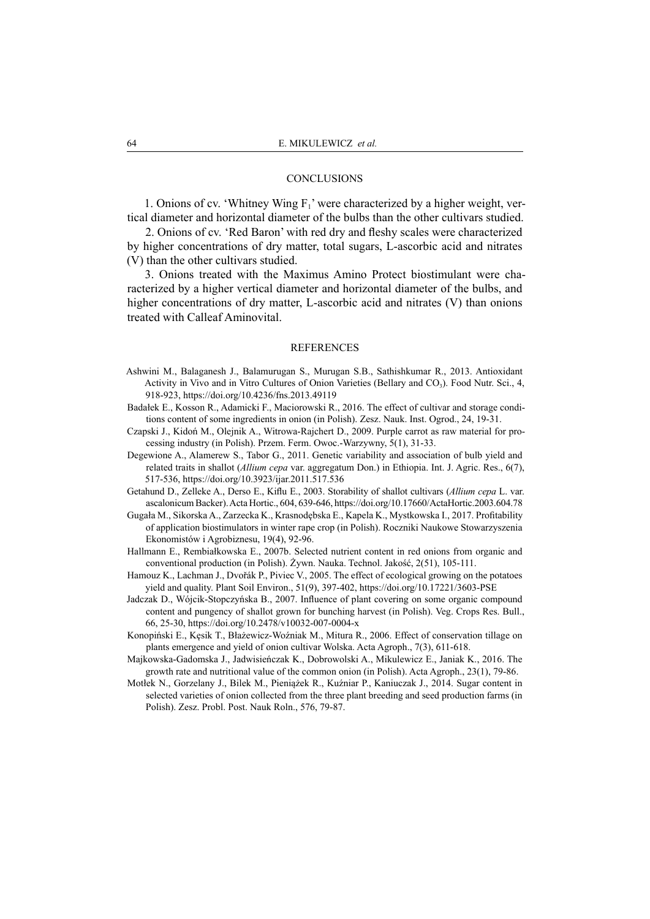#### **CONCLUSIONS**

1. Onions of cv. 'Whitney Wing  $F_1$ ' were characterized by a higher weight, vertical diameter and horizontal diameter of the bulbs than the other cultivars studied.

2. Onions of cv. 'Red Baron' with red dry and fleshy scales were characterized by higher concentrations of dry matter, total sugars, L-ascorbic acid and nitrates (V) than the other cultivars studied.

3. Onions treated with the Maximus Amino Protect biostimulant were characterized by a higher vertical diameter and horizontal diameter of the bulbs, and higher concentrations of dry matter, L-ascorbic acid and nitrates (V) than onions treated with Calleaf Aminovital.

#### REFERENCES

- Ashwini M., Balaganesh J., Balamurugan S., Murugan S.B., Sathishkumar R., 2013. Antioxidant Activity in Vivo and in Vitro Cultures of Onion Varieties (Bellary and  $CO<sub>3</sub>$ ). Food Nutr. Sci., 4, 918-923, https://doi.org/10.4236/fns.2013.49119
- Badałek E., Kosson R., Adamicki F., Maciorowski R., 2016. The effect of cultivar and storage conditions content of some ingredients in onion (in Polish). Zesz. Nauk. Inst. Ogrod., 24, 19-31.
- Czapski J., Kidoń M., Olejnik A., Witrowa-Rajchert D., 2009. Purple carrot as raw material for processing industry (in Polish). Przem. Ferm. Owoc.-Warzywny, 5(1), 31-33.
- Degewione A., Alamerew S., Tabor G., 2011. Genetic variability and association of bulb yield and related traits in shallot (*Allium cepa* var. aggregatum Don.) in Ethiopia. Int. J. Agric. Res., 6(7), 517-536, https://doi.org/10.3923/ijar.2011.517.536
- Getahund D., Zelleke A., Derso E., Kiflu E., 2003. Storability of shallot cultivars (*Allium cepa* L. var. ascalonicum Backer). Acta Hortic., 604, 639-646, https://doi.org/10.17660/ActaHortic.2003.604.78
- Gugała M., Sikorska A., Zarzecka K., Krasnodębska E., Kapela K., Mystkowska I., 2017. Profitability of application biostimulators in winter rape crop (in Polish). Roczniki Naukowe Stowarzyszenia Ekonomistów i Agrobiznesu, 19(4), 92-96.
- Hallmann E., Rembiałkowska E., 2007b. Selected nutrient content in red onions from organic and conventional production (in Polish). Żywn. Nauka. Technol. Jakość, 2(51), 105-111.
- Hamouz K., Lachman J., Dvořák P., Piviec V., 2005. The effect of ecological growing on the potatoes yield and quality. Plant Soil Environ., 51(9), 397-402, https://doi.org/10.17221/3603-PSE
- Jadczak D., Wójcik-Stopczyńska B., 2007. Influence of plant covering on some organic compound content and pungency of shallot grown for bunching harvest (in Polish). Veg. Crops Res. Bull., 66, 25-30, https://doi.org/10.2478/v10032-007-0004-x
- Konopiński E., Kęsik T., Błażewicz-Woźniak M., Mitura R., 2006. Effect of conservation tillage on plants emergence and yield of onion cultivar Wolska. Acta Agroph., 7(3), 611-618.
- Majkowska-Gadomska J., Jadwisieńczak K., Dobrowolski A., Mikulewicz E., Janiak K., 2016. The growth rate and nutritional value of the common onion (in Polish). Acta Agroph., 23(1), 79-86.
- Motłek N., Gorzelany J., Bilek M., Pieniążek R., Kuźniar P., Kaniuczak J., 2014. Sugar content in selected varieties of onion collected from the three plant breeding and seed production farms (in Polish). Zesz. Probl. Post. Nauk Roln., 576, 79-87.